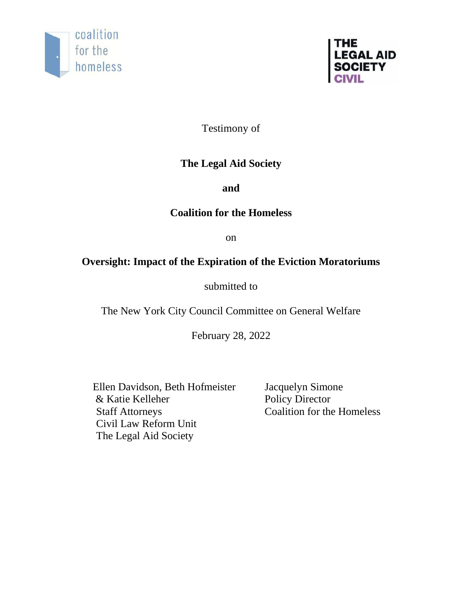



Testimony of

# **The Legal Aid Society**

**and**

# **Coalition for the Homeless**

on

# **Oversight: Impact of the Expiration of the Eviction Moratoriums**

submitted to

The New York City Council Committee on General Welfare

February 28, 2022

Ellen Davidson, Beth Hofmeister & Katie Kelleher Staff Attorneys Civil Law Reform Unit The Legal Aid Society

Jacquelyn Simone Policy Director Coalition for the Homeless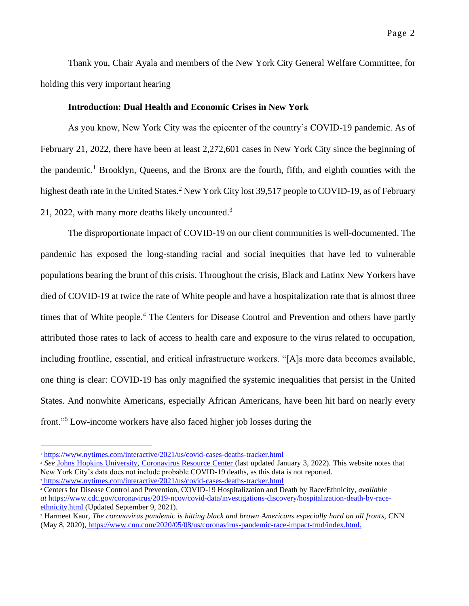Thank you, Chair Ayala and members of the New York City General Welfare Committee, for holding this very important hearing

#### **Introduction: Dual Health and Economic Crises in New York**

As you know, New York City was the epicenter of the country's COVID-19 pandemic. As of February 21, 2022, there have been at least 2,272,601 cases in New York City since the beginning of the pandemic.<sup>1</sup> Brooklyn, Queens, and the Bronx are the fourth, fifth, and eighth counties with the highest death rate in the United States.<sup>2</sup> New York City lost 39,517 people to COVID-19, as of February 21, 2022, with many more deaths likely uncounted.<sup>3</sup>

The disproportionate impact of COVID-19 on our client communities is well-documented. The pandemic has exposed the long-standing racial and social inequities that have led to vulnerable populations bearing the brunt of this crisis. Throughout the crisis, Black and Latinx New Yorkers have died of COVID-19 at twice the rate of White people and have a hospitalization rate that is almost three times that of White people.<sup>4</sup> The Centers for Disease Control and Prevention and others have partly attributed those rates to lack of access to health care and exposure to the virus related to occupation, including frontline, essential, and critical infrastructure workers. "[A]s more data becomes available, one thing is clear: COVID-19 has only magnified the systemic inequalities that persist in the United States. And nonwhite Americans, especially African Americans, have been hit hard on nearly every front."<sup>5</sup> Low-income workers have also faced higher job losses during the

<sup>1</sup> <https://www.nytimes.com/interactive/2021/us/covid-cases-deaths-tracker.html>

<sup>&</sup>lt;sup>2</sup> See Johns Hopkins University, [Coronavirus Resource Center](https://coronavirus.jhu.edu/us-map) (last updated January 3, 2022). This website notes that New York City's data does not include probable COVID-19 deaths, as this data is not reported.

<sup>&</sup>lt;sup>3</sup> <https://www.nytimes.com/interactive/2021/us/covid-cases-deaths-tracker.html>

<sup>4</sup> Centers for Disease Control and Prevention, COVID-19 Hospitalization and Death by Race/Ethnicity, *available at* [https://www.cdc.gov/coronavirus/2019-ncov/covid-data/investigations-discovery/hospitalization-death-by-race](https://www.cdc.gov/coronavirus/2019-ncov/covid-data/investigations-discovery/hospitalization-death-by-race-ethnicity.html)[ethnicity.html](https://www.cdc.gov/coronavirus/2019-ncov/covid-data/investigations-discovery/hospitalization-death-by-race-ethnicity.html) (Updated September 9, 2021).

<sup>5</sup> Harmeet Kaur, *The coronavirus pandemic is hitting black and brown Americans especially hard on all fronts*, CNN (May 8, 2020), [https://www.cnn.com/2020/05/08/us/coronavirus-pandemic-race-impact-trnd/index.html.](https://www.cnn.com/2020/05/08/us/coronavirus-pandemic-race-impact-trnd/index.html)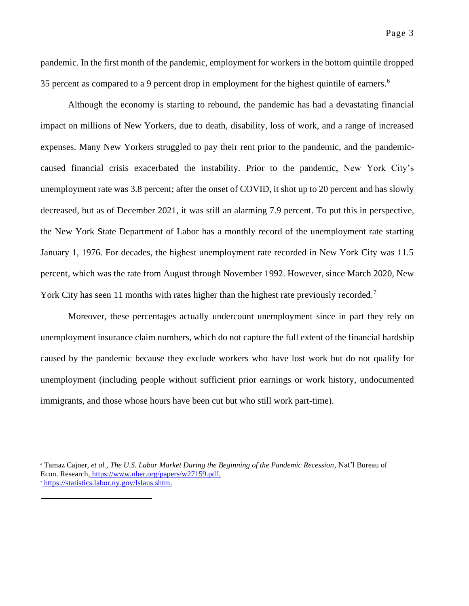pandemic. In the first month of the pandemic, employment for workers in the bottom quintile dropped 35 percent as compared to a 9 percent drop in employment for the highest quintile of earners.<sup>6</sup>

Although the economy is starting to rebound, the pandemic has had a devastating financial impact on millions of New Yorkers, due to death, disability, loss of work, and a range of increased expenses. Many New Yorkers struggled to pay their rent prior to the pandemic, and the pandemiccaused financial crisis exacerbated the instability. Prior to the pandemic, New York City's unemployment rate was 3.8 percent; after the onset of COVID, it shot up to 20 percent and has slowly decreased, but as of December 2021, it was still an alarming 7.9 percent. To put this in perspective, the New York State Department of Labor has a monthly record of the unemployment rate starting January 1, 1976. For decades, the highest unemployment rate recorded in New York City was 11.5 percent, which was the rate from August through November 1992. However, since March 2020, New York City has seen 11 months with rates higher than the highest rate previously recorded.<sup>7</sup>

Moreover, these percentages actually undercount unemployment since in part they rely on unemployment insurance claim numbers, which do not capture the full extent of the financial hardship caused by the pandemic because they exclude workers who have lost work but do not qualify for unemployment (including people without sufficient prior earnings or work history, undocumented immigrants, and those whose hours have been cut but who still work part-time).

<sup>6</sup> Tamaz Cajner, *et al.*, *The U.S. Labor Market During the Beginning of the Pandemic Recession*, Nat'l Bureau of Econ. Research, [https://www.nber.org/papers/w27159.pdf.](https://www.nber.org/papers/w27159.pdf) <sup>7</sup> [https://statistics.labor.ny.gov/lslaus.shtm.](https://statistics.labor.ny.gov/lslaus.shtm)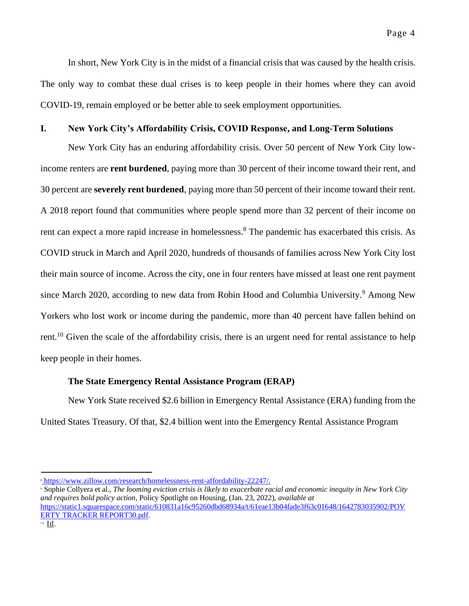#### **I. New York City's Affordability Crisis, COVID Response, and Long-Term Solutions**

New York City has an enduring affordability crisis. Over 50 percent of New York City lowincome renters are **rent burdened**, paying more than 30 percent of their income toward their rent, and 30 percent are **severely rent burdened**, paying more than 50 percent of their income toward their rent. A 2018 report found that communities where people spend more than 32 percent of their income on rent can expect a more rapid increase in homelessness. <sup>8</sup> The pandemic has exacerbated this crisis. As COVID struck in March and April 2020, hundreds of thousands of families across New York City lost their main source of income. Across the city, one in four renters have missed at least one rent payment since March 2020, according to new data from Robin Hood and Columbia University.<sup>9</sup> Among New Yorkers who lost work or income during the pandemic, more than 40 percent have fallen behind on rent.<sup>10</sup> Given the scale of the affordability crisis, there is an urgent need for rental assistance to help keep people in their homes.

#### **The State Emergency Rental Assistance Program (ERAP)**

New York State received \$2.6 billion in Emergency Rental Assistance (ERA) funding from the United States Treasury. Of that, \$2.4 billion went into the Emergency Rental Assistance Program

<sup>8</sup> [https://www.zillow.com/research/homelessness-rent-affordability-22247/.](https://www.zillow.com/research/homelessness-rent-affordability-22247/)

<sup>9</sup> Sophie Collyera et al., *The looming eviction crisis is likely to exacerbate racial and economic inequity in New York City and requires bold policy action,* Policy Spotlight on Housing, (Jan. 23, 2022), *available at*  [https://static1.squarespace.com/static/610831a16c95260dbd68934a/t/61eae13b04fade3f63c01648/1642783035902/POV](https://static1.squarespace.com/static/610831a16c95260dbd68934a/t/61eae13b04fade3f63c01648/1642783035902/POVERTY_TRACKER_REPORT30.pdf)  [ERTY TRACKER REPORT30.pdf.](https://static1.squarespace.com/static/610831a16c95260dbd68934a/t/61eae13b04fade3f63c01648/1642783035902/POVERTY_TRACKER_REPORT30.pdf)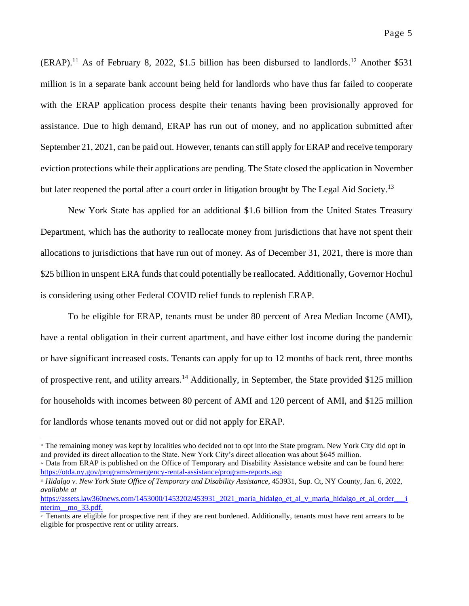$(ERAP).$ <sup>11</sup> As of February 8, 2022, \$1.5 billion has been disbursed to landlords.<sup>12</sup> Another \$531 million is in a separate bank account being held for landlords who have thus far failed to cooperate with the ERAP application process despite their tenants having been provisionally approved for assistance. Due to high demand, ERAP has run out of money, and no application submitted after September 21, 2021, can be paid out. However, tenants can still apply for ERAP and receive temporary eviction protections while their applications are pending. The State closed the application in November but later reopened the portal after a court order in litigation brought by The Legal Aid Society.<sup>13</sup>

New York State has applied for an additional \$1.6 billion from the United States Treasury Department, which has the authority to reallocate money from jurisdictions that have not spent their allocations to jurisdictions that have run out of money. As of December 31, 2021, there is more than \$25 billion in unspent ERA funds that could potentially be reallocated. Additionally, Governor Hochul is considering using other Federal COVID relief funds to replenish ERAP.

To be eligible for ERAP, tenants must be under 80 percent of Area Median Income (AMI), have a rental obligation in their current apartment, and have either lost income during the pandemic or have significant increased costs. Tenants can apply for up to 12 months of back rent, three months of prospective rent, and utility arrears.<sup>14</sup> Additionally, in September, the State provided \$125 million for households with incomes between 80 percent of AMI and 120 percent of AMI, and \$125 million for landlords whose tenants moved out or did not apply for ERAP.

<sup>&</sup>lt;sup>11</sup> The remaining money was kept by localities who decided not to opt into the State program. New York City did opt in and provided its direct allocation to the State. New York City's direct allocation was about \$645 million.

<sup>&</sup>lt;sup>12</sup> Data from ERAP is published on the Office of Temporary and Disability Assistance website and can be found here: <https://otda.ny.gov/programs/emergency-rental-assistance/program-reports.asp>

<sup>13</sup> *Hidalgo v. New York State Office of Temporary and Disability Assistance,* 453931, Sup. Ct, NY County, Jan. 6, 2022, *available at* 

https://assets.law360news.com/1453000/1453202/453931\_2021\_maria\_hidalgo\_et\_al\_v\_maria\_hidalgo\_et\_al\_order\_\_\_i nterim mo 33.pdf.

<sup>&</sup>lt;sup>14</sup> Tenants are eligible for prospective rent if they are rent burdened. Additionally, tenants must have rent arrears to be eligible for prospective rent or utility arrears.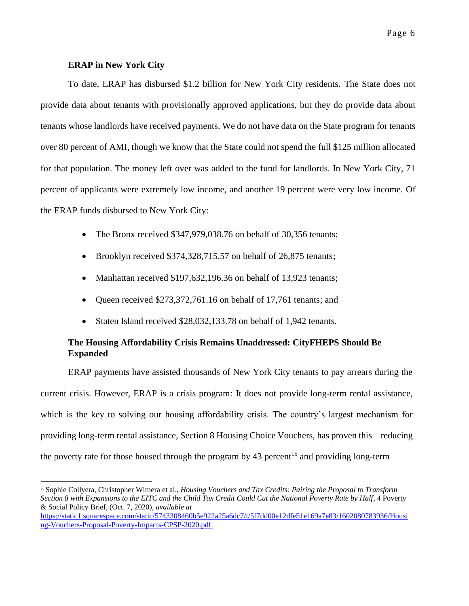### **ERAP in New York City**

To date, ERAP has disbursed \$1.2 billion for New York City residents. The State does not provide data about tenants with provisionally approved applications, but they do provide data about tenants whose landlords have received payments. We do not have data on the State program for tenants over 80 percent of AMI, though we know that the State could not spend the full \$125 million allocated for that population. The money left over was added to the fund for landlords. In New York City, 71 percent of applicants were extremely low income, and another 19 percent were very low income. Of the ERAP funds disbursed to New York City:

- The Bronx received \$347,979,038.76 on behalf of 30,356 tenants;
- Brooklyn received \$374,328,715.57 on behalf of 26,875 tenants;
- Manhattan received \$197,632,196.36 on behalf of 13,923 tenants;
- Oueen received \$273,372,761.16 on behalf of 17,761 tenants; and
- Staten Island received \$28,032,133.78 on behalf of 1,942 tenants.

# **The Housing Affordability Crisis Remains Unaddressed: CityFHEPS Should Be Expanded**

ERAP payments have assisted thousands of New York City tenants to pay arrears during the current crisis. However, ERAP is a crisis program: It does not provide long-term rental assistance, which is the key to solving our housing affordability crisis. The country's largest mechanism for providing long-term rental assistance, Section 8 Housing Choice Vouchers, has proven this – reducing the poverty rate for those housed through the program by 43 percent<sup>15</sup> and providing long-term

<sup>15</sup> Sophie Collyera, Christopher Wimera et al., *Housing Vouchers and Tax Credits: Pairing the Proposal to Transform Section 8 with Expansions to the EITC and the Child Tax Credit Could Cut the National Poverty Rate by Half*, 4 Poverty & Social Policy Brief, (Oct. 7, 2020), *available at* 

[https://static1.squarespace.com/static/5743308460b5e922a25a6dc7/t/5f7dd00e12dfe51e169a7e83/1602080783936/Housi](https://static1.squarespace.com/static/5743308460b5e922a25a6dc7/t/5f7dd00e12dfe51e169a7e83/1602080783936/Housing-Vouchers-Proposal-Poverty-Impacts-CPSP-2020.pdf)  [ng-Vouchers-Proposal-Poverty-Impacts-CPSP-2020.pdf.](https://static1.squarespace.com/static/5743308460b5e922a25a6dc7/t/5f7dd00e12dfe51e169a7e83/1602080783936/Housing-Vouchers-Proposal-Poverty-Impacts-CPSP-2020.pdf)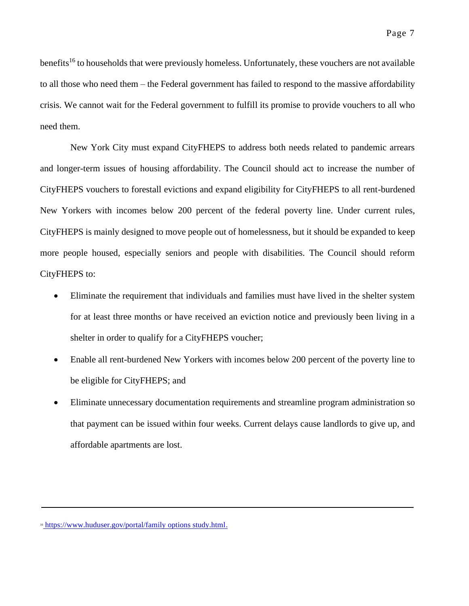benefits<sup>16</sup> to households that were previously homeless. Unfortunately, these vouchers are not available to all those who need them – the Federal government has failed to respond to the massive affordability crisis. We cannot wait for the Federal government to fulfill its promise to provide vouchers to all who need them.

New York City must expand CityFHEPS to address both needs related to pandemic arrears and longer-term issues of housing affordability. The Council should act to increase the number of CityFHEPS vouchers to forestall evictions and expand eligibility for CityFHEPS to all rent-burdened New Yorkers with incomes below 200 percent of the federal poverty line. Under current rules, CityFHEPS is mainly designed to move people out of homelessness, but it should be expanded to keep more people housed, especially seniors and people with disabilities. The Council should reform CityFHEPS to:

- Eliminate the requirement that individuals and families must have lived in the shelter system for at least three months or have received an eviction notice and previously been living in a shelter in order to qualify for a CityFHEPS voucher;
- Enable all rent-burdened New Yorkers with incomes below 200 percent of the poverty line to be eligible for CityFHEPS; and
- Eliminate unnecessary documentation requirements and streamline program administration so that payment can be issued within four weeks. Current delays cause landlords to give up, and affordable apartments are lost.

<sup>&</sup>lt;sup>16</sup> [https://www.huduser.gov/portal/family options study.html.](https://www.huduser.gov/portal/family_options_study.html)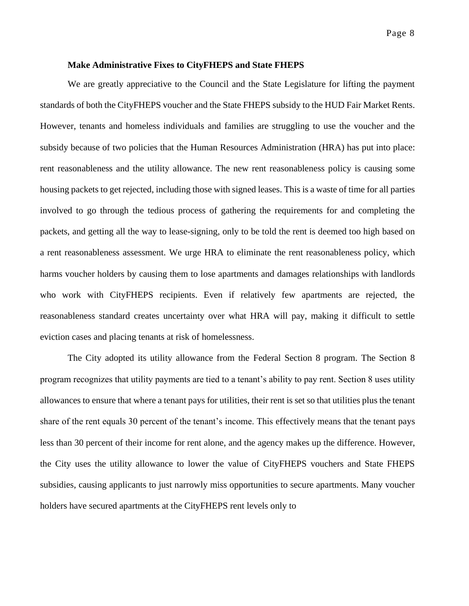#### **Make Administrative Fixes to CityFHEPS and State FHEPS**

We are greatly appreciative to the Council and the State Legislature for lifting the payment standards of both the CityFHEPS voucher and the State FHEPS subsidy to the HUD Fair Market Rents. However, tenants and homeless individuals and families are struggling to use the voucher and the subsidy because of two policies that the Human Resources Administration (HRA) has put into place: rent reasonableness and the utility allowance. The new rent reasonableness policy is causing some housing packets to get rejected, including those with signed leases. This is a waste of time for all parties involved to go through the tedious process of gathering the requirements for and completing the packets, and getting all the way to lease-signing, only to be told the rent is deemed too high based on a rent reasonableness assessment. We urge HRA to eliminate the rent reasonableness policy, which harms voucher holders by causing them to lose apartments and damages relationships with landlords who work with CityFHEPS recipients. Even if relatively few apartments are rejected, the reasonableness standard creates uncertainty over what HRA will pay, making it difficult to settle eviction cases and placing tenants at risk of homelessness.

The City adopted its utility allowance from the Federal Section 8 program. The Section 8 program recognizes that utility payments are tied to a tenant's ability to pay rent. Section 8 uses utility allowances to ensure that where a tenant pays for utilities, their rent is set so that utilities plus the tenant share of the rent equals 30 percent of the tenant's income. This effectively means that the tenant pays less than 30 percent of their income for rent alone, and the agency makes up the difference. However, the City uses the utility allowance to lower the value of CityFHEPS vouchers and State FHEPS subsidies, causing applicants to just narrowly miss opportunities to secure apartments. Many voucher holders have secured apartments at the CityFHEPS rent levels only to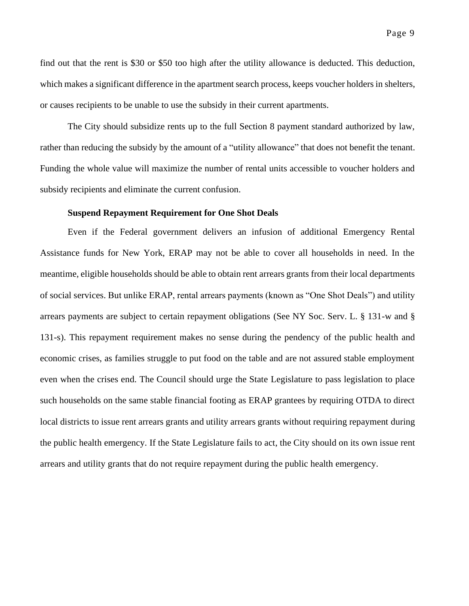find out that the rent is \$30 or \$50 too high after the utility allowance is deducted. This deduction, which makes a significant difference in the apartment search process, keeps voucher holders in shelters, or causes recipients to be unable to use the subsidy in their current apartments.

The City should subsidize rents up to the full Section 8 payment standard authorized by law, rather than reducing the subsidy by the amount of a "utility allowance" that does not benefit the tenant. Funding the whole value will maximize the number of rental units accessible to voucher holders and subsidy recipients and eliminate the current confusion.

#### **Suspend Repayment Requirement for One Shot Deals**

Even if the Federal government delivers an infusion of additional Emergency Rental Assistance funds for New York, ERAP may not be able to cover all households in need. In the meantime, eligible households should be able to obtain rent arrears grants from their local departments of social services. But unlike ERAP, rental arrears payments (known as "One Shot Deals") and utility arrears payments are subject to certain repayment obligations (See NY Soc. Serv. L. § 131-w and § 131-s). This repayment requirement makes no sense during the pendency of the public health and economic crises, as families struggle to put food on the table and are not assured stable employment even when the crises end. The Council should urge the State Legislature to pass legislation to place such households on the same stable financial footing as ERAP grantees by requiring OTDA to direct local districts to issue rent arrears grants and utility arrears grants without requiring repayment during the public health emergency. If the State Legislature fails to act, the City should on its own issue rent arrears and utility grants that do not require repayment during the public health emergency.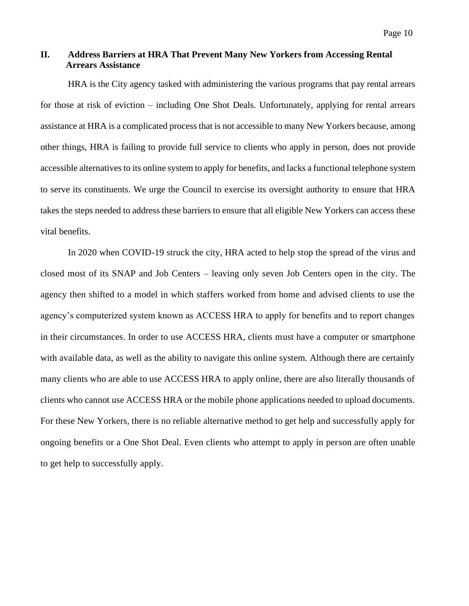## **II. Address Barriers at HRA That Prevent Many New Yorkers from Accessing Rental Arrears Assistance**

HRA is the City agency tasked with administering the various programs that pay rental arrears for those at risk of eviction – including One Shot Deals. Unfortunately, applying for rental arrears assistance at HRA is a complicated process that is not accessible to many New Yorkers because, among other things, HRA is failing to provide full service to clients who apply in person, does not provide accessible alternatives to its online system to apply for benefits, and lacks a functional telephone system to serve its constituents. We urge the Council to exercise its oversight authority to ensure that HRA takes the steps needed to address these barriers to ensure that all eligible New Yorkers can access these vital benefits.

In 2020 when COVID-19 struck the city, HRA acted to help stop the spread of the virus and closed most of its SNAP and Job Centers – leaving only seven Job Centers open in the city. The agency then shifted to a model in which staffers worked from home and advised clients to use the agency's computerized system known as ACCESS HRA to apply for benefits and to report changes in their circumstances. In order to use ACCESS HRA, clients must have a computer or smartphone with available data, as well as the ability to navigate this online system. Although there are certainly many clients who are able to use ACCESS HRA to apply online, there are also literally thousands of clients who cannot use ACCESS HRA or the mobile phone applications needed to upload documents. For these New Yorkers, there is no reliable alternative method to get help and successfully apply for ongoing benefits or a One Shot Deal. Even clients who attempt to apply in person are often unable to get help to successfully apply.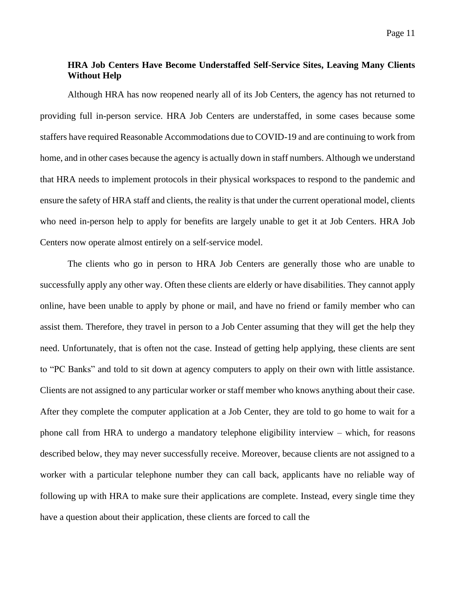## **HRA Job Centers Have Become Understaffed Self-Service Sites, Leaving Many Clients Without Help**

Although HRA has now reopened nearly all of its Job Centers, the agency has not returned to providing full in-person service. HRA Job Centers are understaffed, in some cases because some staffers have required Reasonable Accommodations due to COVID-19 and are continuing to work from home, and in other cases because the agency is actually down in staff numbers. Although we understand that HRA needs to implement protocols in their physical workspaces to respond to the pandemic and ensure the safety of HRA staff and clients, the reality is that under the current operational model, clients who need in-person help to apply for benefits are largely unable to get it at Job Centers. HRA Job Centers now operate almost entirely on a self-service model.

The clients who go in person to HRA Job Centers are generally those who are unable to successfully apply any other way. Often these clients are elderly or have disabilities. They cannot apply online, have been unable to apply by phone or mail, and have no friend or family member who can assist them. Therefore, they travel in person to a Job Center assuming that they will get the help they need. Unfortunately, that is often not the case. Instead of getting help applying, these clients are sent to "PC Banks" and told to sit down at agency computers to apply on their own with little assistance. Clients are not assigned to any particular worker or staff member who knows anything about their case. After they complete the computer application at a Job Center, they are told to go home to wait for a phone call from HRA to undergo a mandatory telephone eligibility interview – which, for reasons described below, they may never successfully receive. Moreover, because clients are not assigned to a worker with a particular telephone number they can call back, applicants have no reliable way of following up with HRA to make sure their applications are complete. Instead, every single time they have a question about their application, these clients are forced to call the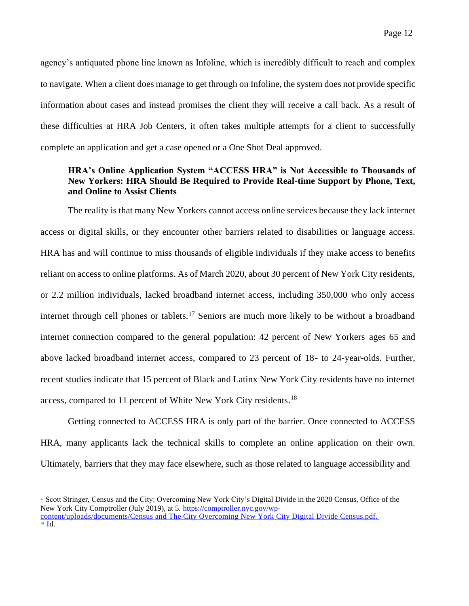agency's antiquated phone line known as Infoline, which is incredibly difficult to reach and complex to navigate. When a client does manage to get through on Infoline, the system does not provide specific information about cases and instead promises the client they will receive a call back. As a result of these difficulties at HRA Job Centers, it often takes multiple attempts for a client to successfully complete an application and get a case opened or a One Shot Deal approved.

## **HRA's Online Application System "ACCESS HRA" is Not Accessible to Thousands of New Yorkers: HRA Should Be Required to Provide Real-time Support by Phone, Text, and Online to Assist Clients**

The reality is that many New Yorkers cannot access online services because they lack internet access or digital skills, or they encounter other barriers related to disabilities or language access. HRA has and will continue to miss thousands of eligible individuals if they make access to benefits reliant on access to online platforms. As of March 2020, about 30 percent of New York City residents, or 2.2 million individuals, lacked broadband internet access, including 350,000 who only access internet through cell phones or tablets.<sup>17</sup> Seniors are much more likely to be without a broadband internet connection compared to the general population: 42 percent of New Yorkers ages 65 and above lacked broadband internet access, compared to 23 percent of 18- to 24-year-olds. Further, recent studies indicate that 15 percent of Black and Latinx New York City residents have no internet access, compared to 11 percent of White New York City residents.<sup>18</sup>

Getting connected to ACCESS HRA is only part of the barrier. Once connected to ACCESS HRA, many applicants lack the technical skills to complete an online application on their own. Ultimately, barriers that they may face elsewhere, such as those related to language accessibility and

<sup>17</sup> Scott Stringer, Census and the City: Overcoming New York City's Digital Divide in the 2020 Census, Office of the New York City Comptroller (July 2019), at 5. [https://comptroller.nyc.gov/wp-](https://comptroller.nyc.gov/wp-content/uploads/documents/Census_and_The_City_Overcoming_NYC_Digital_Divide_Census.pdf.)

[content/uploads/documents/Census and The City Overcoming New York City Digital Divide Census.pdf.](https://comptroller.nyc.gov/wp-content/uploads/documents/Census_and_The_City_Overcoming_NYC_Digital_Divide_Census.pdf.)  $18$  Id.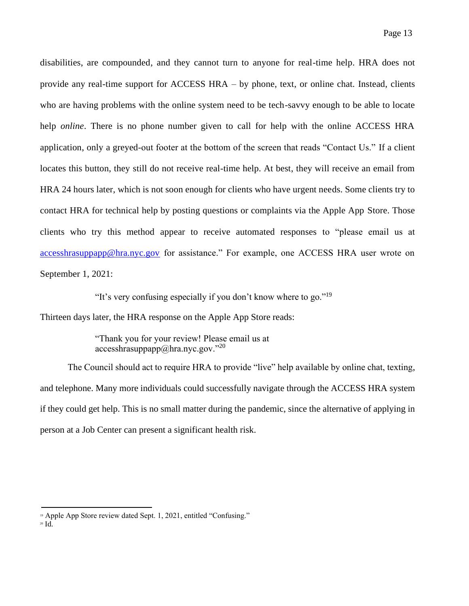disabilities, are compounded, and they cannot turn to anyone for real-time help. HRA does not provide any real-time support for ACCESS HRA – by phone, text, or online chat. Instead, clients who are having problems with the online system need to be tech-savvy enough to be able to locate help *online*. There is no phone number given to call for help with the online ACCESS HRA application, only a greyed-out footer at the bottom of the screen that reads "Contact Us." If a client locates this button, they still do not receive real-time help. At best, they will receive an email from HRA 24 hours later, which is not soon enough for clients who have urgent needs. Some clients try to contact HRA for technical help by posting questions or complaints via the Apple App Store. Those clients who try this method appear to receive automated responses to "please email us at [accesshrasuppapp@hra.nyc.gov](mailto:accesshrasuppapp@hra.nyc.gov) for assistance." For example, one ACCESS HRA user wrote on September 1, 2021:

"It's very confusing especially if you don't know where to go."<sup>19</sup>

Thirteen days later, the HRA response on the Apple App Store reads:

"Thank you for your review! Please email us at  $accesshrasyp$ appapp $@$ hra.nyc.gov."<sup>20</sup>

The Council should act to require HRA to provide "live" help available by online chat, texting, and telephone. Many more individuals could successfully navigate through the ACCESS HRA system if they could get help. This is no small matter during the pandemic, since the alternative of applying in person at a Job Center can present a significant health risk.

<sup>&</sup>lt;sup>19</sup> Apple App Store review dated Sept. 1, 2021, entitled "Confusing."

<sup>20</sup> Id.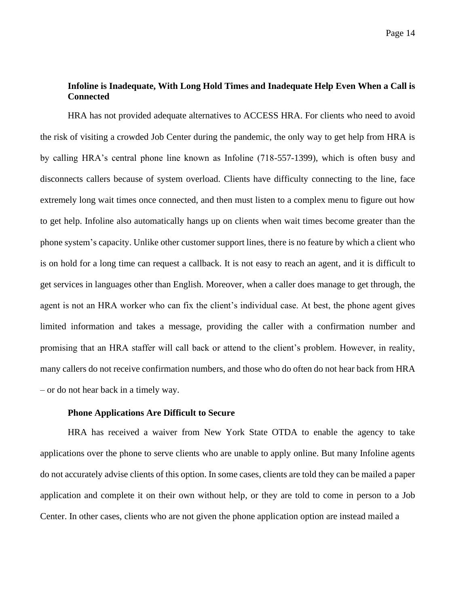## **Infoline is Inadequate, With Long Hold Times and Inadequate Help Even When a Call is Connected**

HRA has not provided adequate alternatives to ACCESS HRA. For clients who need to avoid the risk of visiting a crowded Job Center during the pandemic, the only way to get help from HRA is by calling HRA's central phone line known as Infoline (718-557-1399), which is often busy and disconnects callers because of system overload. Clients have difficulty connecting to the line, face extremely long wait times once connected, and then must listen to a complex menu to figure out how to get help. Infoline also automatically hangs up on clients when wait times become greater than the phone system's capacity. Unlike other customer support lines, there is no feature by which a client who is on hold for a long time can request a callback. It is not easy to reach an agent, and it is difficult to get services in languages other than English. Moreover, when a caller does manage to get through, the agent is not an HRA worker who can fix the client's individual case. At best, the phone agent gives limited information and takes a message, providing the caller with a confirmation number and promising that an HRA staffer will call back or attend to the client's problem. However, in reality, many callers do not receive confirmation numbers, and those who do often do not hear back from HRA – or do not hear back in a timely way.

### **Phone Applications Are Difficult to Secure**

HRA has received a waiver from New York State OTDA to enable the agency to take applications over the phone to serve clients who are unable to apply online. But many Infoline agents do not accurately advise clients of this option. In some cases, clients are told they can be mailed a paper application and complete it on their own without help, or they are told to come in person to a Job Center. In other cases, clients who are not given the phone application option are instead mailed a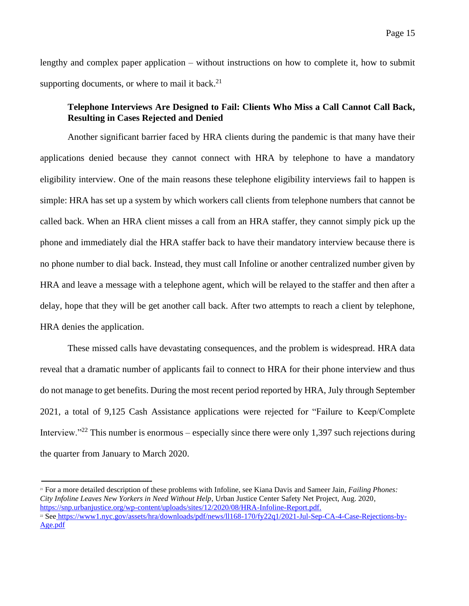lengthy and complex paper application – without instructions on how to complete it, how to submit supporting documents, or where to mail it back. $21$ 

### **Telephone Interviews Are Designed to Fail: Clients Who Miss a Call Cannot Call Back, Resulting in Cases Rejected and Denied**

Another significant barrier faced by HRA clients during the pandemic is that many have their applications denied because they cannot connect with HRA by telephone to have a mandatory eligibility interview. One of the main reasons these telephone eligibility interviews fail to happen is simple: HRA has set up a system by which workers call clients from telephone numbers that cannot be called back. When an HRA client misses a call from an HRA staffer, they cannot simply pick up the phone and immediately dial the HRA staffer back to have their mandatory interview because there is no phone number to dial back. Instead, they must call Infoline or another centralized number given by HRA and leave a message with a telephone agent, which will be relayed to the staffer and then after a delay, hope that they will be get another call back. After two attempts to reach a client by telephone, HRA denies the application.

These missed calls have devastating consequences, and the problem is widespread. HRA data reveal that a dramatic number of applicants fail to connect to HRA for their phone interview and thus do not manage to get benefits. During the most recent period reported by HRA, July through September 2021, a total of 9,125 Cash Assistance applications were rejected for "Failure to Keep/Complete Interview."<sup>22</sup> This number is enormous – especially since there were only 1,397 such rejections during the quarter from January to March 2020.

<sup>21</sup> For a more detailed description of these problems with Infoline, see Kiana Davis and Sameer Jain*, Failing Phones: City Infoline Leaves New Yorkers in Need Without Help*, Urban Justice Center Safety Net Project, Aug. 2020, [https://snp.urbanjustice.org/wp-content/uploads/sites/12/2020/08/HRA-Infoline-Report.pdf.](https://snp.urbanjustice.org/wp-content/uploads/sites/12/2020/08/HRA-Infoline-Report.pdf)

<sup>22</sup> See [https://www1.nyc.gov/assets/hra/downloads/pdf/news/ll168-170/fy22q1/2021-Jul-Sep-CA-4-Case-Rejections-by-](https://www1.nyc.gov/assets/hra/downloads/pdf/news/ll168-170/fy22q1/2021-Jul-Sep-CA-4-Case-Rejections-by-Age.pdf)[Age.pdf](https://www1.nyc.gov/assets/hra/downloads/pdf/news/ll168-170/fy22q1/2021-Jul-Sep-CA-4-Case-Rejections-by-Age.pdf)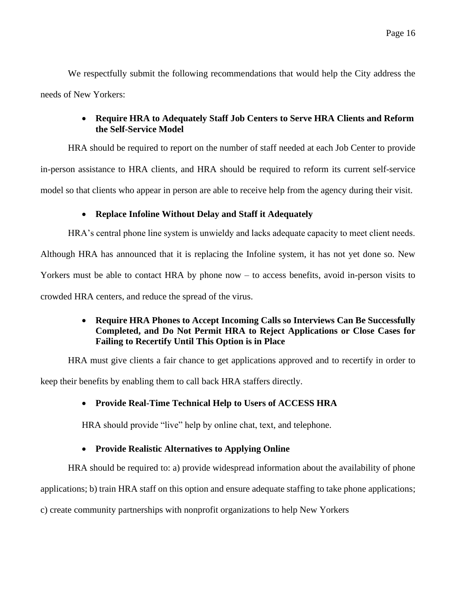We respectfully submit the following recommendations that would help the City address the needs of New Yorkers:

# • **Require HRA to Adequately Staff Job Centers to Serve HRA Clients and Reform the Self-Service Model**

HRA should be required to report on the number of staff needed at each Job Center to provide

in-person assistance to HRA clients, and HRA should be required to reform its current self-service

model so that clients who appear in person are able to receive help from the agency during their visit.

# • **Replace Infoline Without Delay and Staff it Adequately**

HRA's central phone line system is unwieldy and lacks adequate capacity to meet client needs.

Although HRA has announced that it is replacing the Infoline system, it has not yet done so. New

Yorkers must be able to contact HRA by phone now – to access benefits, avoid in-person visits to

crowded HRA centers, and reduce the spread of the virus.

# • **Require HRA Phones to Accept Incoming Calls so Interviews Can Be Successfully Completed, and Do Not Permit HRA to Reject Applications or Close Cases for Failing to Recertify Until This Option is in Place**

HRA must give clients a fair chance to get applications approved and to recertify in order to

keep their benefits by enabling them to call back HRA staffers directly.

# • **Provide Real-Time Technical Help to Users of ACCESS HRA**

HRA should provide "live" help by online chat, text, and telephone.

# • **Provide Realistic Alternatives to Applying Online**

HRA should be required to: a) provide widespread information about the availability of phone

applications; b) train HRA staff on this option and ensure adequate staffing to take phone applications;

c) create community partnerships with nonprofit organizations to help New Yorkers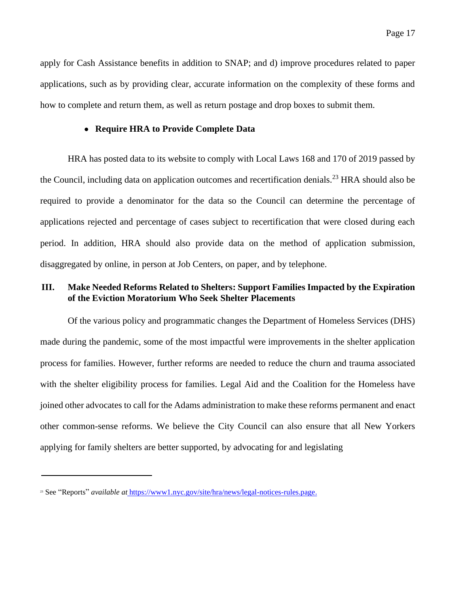apply for Cash Assistance benefits in addition to SNAP; and d) improve procedures related to paper applications, such as by providing clear, accurate information on the complexity of these forms and how to complete and return them, as well as return postage and drop boxes to submit them.

#### • **Require HRA to Provide Complete Data**

HRA has posted data to its website to comply with Local Laws 168 and 170 of 2019 passed by the Council, including data on application outcomes and recertification denials.<sup>23</sup> HRA should also be required to provide a denominator for the data so the Council can determine the percentage of applications rejected and percentage of cases subject to recertification that were closed during each period. In addition, HRA should also provide data on the method of application submission, disaggregated by online, in person at Job Centers, on paper, and by telephone.

# **III. Make Needed Reforms Related to Shelters: Support Families Impacted by the Expiration of the Eviction Moratorium Who Seek Shelter Placements**

Of the various policy and programmatic changes the Department of Homeless Services (DHS) made during the pandemic, some of the most impactful were improvements in the shelter application process for families. However, further reforms are needed to reduce the churn and trauma associated with the shelter eligibility process for families. Legal Aid and the Coalition for the Homeless have joined other advocates to call for the Adams administration to make these reforms permanent and enact other common-sense reforms. We believe the City Council can also ensure that all New Yorkers applying for family shelters are better supported, by advocating for and legislating

<sup>23</sup> See "Reports" *available at* [https://www1.nyc.gov/site/hra/news/legal-notices-rules.page.](https://www1.nyc.gov/site/hra/news/legal-notices-rules.page)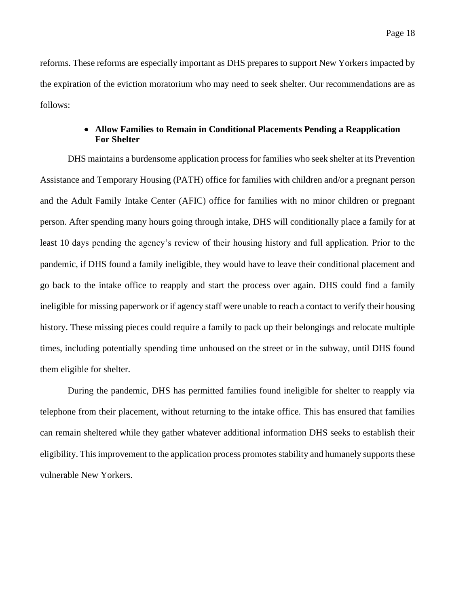reforms. These reforms are especially important as DHS prepares to support New Yorkers impacted by the expiration of the eviction moratorium who may need to seek shelter. Our recommendations are as follows:

### • **Allow Families to Remain in Conditional Placements Pending a Reapplication For Shelter**

DHS maintains a burdensome application process for families who seek shelter at its Prevention Assistance and Temporary Housing (PATH) office for families with children and/or a pregnant person and the Adult Family Intake Center (AFIC) office for families with no minor children or pregnant person. After spending many hours going through intake, DHS will conditionally place a family for at least 10 days pending the agency's review of their housing history and full application. Prior to the pandemic, if DHS found a family ineligible, they would have to leave their conditional placement and go back to the intake office to reapply and start the process over again. DHS could find a family ineligible for missing paperwork or if agency staff were unable to reach a contact to verify their housing history. These missing pieces could require a family to pack up their belongings and relocate multiple times, including potentially spending time unhoused on the street or in the subway, until DHS found them eligible for shelter.

During the pandemic, DHS has permitted families found ineligible for shelter to reapply via telephone from their placement, without returning to the intake office. This has ensured that families can remain sheltered while they gather whatever additional information DHS seeks to establish their eligibility. This improvement to the application process promotes stability and humanely supports these vulnerable New Yorkers.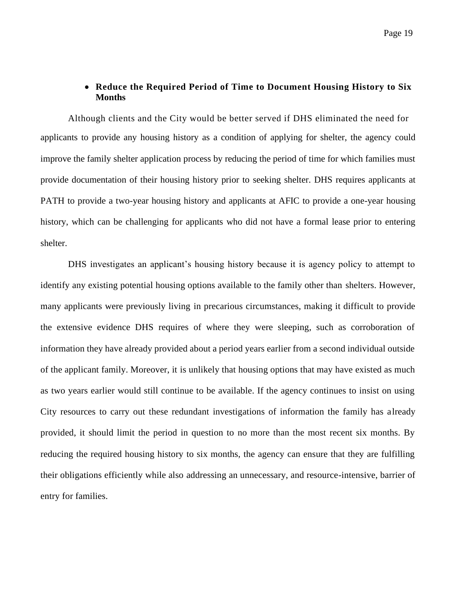### • **Reduce the Required Period of Time to Document Housing History to Six Months**

Although clients and the City would be better served if DHS eliminated the need for applicants to provide any housing history as a condition of applying for shelter, the agency could improve the family shelter application process by reducing the period of time for which families must provide documentation of their housing history prior to seeking shelter. DHS requires applicants at PATH to provide a two-year housing history and applicants at AFIC to provide a one-year housing history, which can be challenging for applicants who did not have a formal lease prior to entering shelter.

DHS investigates an applicant's housing history because it is agency policy to attempt to identify any existing potential housing options available to the family other than shelters. However, many applicants were previously living in precarious circumstances, making it difficult to provide the extensive evidence DHS requires of where they were sleeping, such as corroboration of information they have already provided about a period years earlier from a second individual outside of the applicant family. Moreover, it is unlikely that housing options that may have existed as much as two years earlier would still continue to be available. If the agency continues to insist on using City resources to carry out these redundant investigations of information the family has already provided, it should limit the period in question to no more than the most recent six months. By reducing the required housing history to six months, the agency can ensure that they are fulfilling their obligations efficiently while also addressing an unnecessary, and resource-intensive, barrier of entry for families.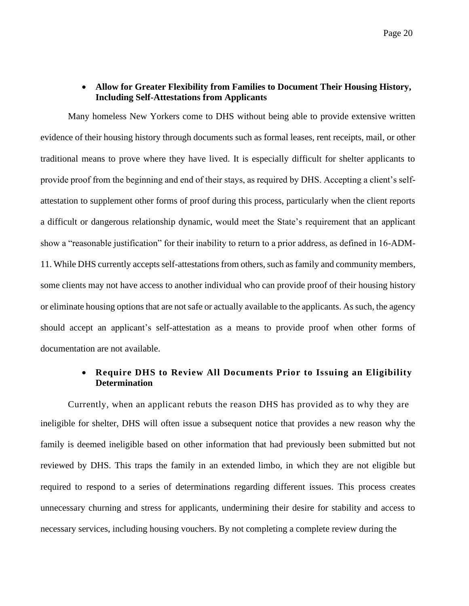#### • **Allow for Greater Flexibility from Families to Document Their Housing History, Including Self-Attestations from Applicants**

Many homeless New Yorkers come to DHS without being able to provide extensive written evidence of their housing history through documents such as formal leases, rent receipts, mail, or other traditional means to prove where they have lived. It is especially difficult for shelter applicants to provide proof from the beginning and end of their stays, as required by DHS. Accepting a client's selfattestation to supplement other forms of proof during this process, particularly when the client reports a difficult or dangerous relationship dynamic, would meet the State's requirement that an applicant show a "reasonable justification" for their inability to return to a prior address, as defined in 16-ADM-11. While DHS currently accepts self-attestations from others, such as family and community members, some clients may not have access to another individual who can provide proof of their housing history or eliminate housing options that are not safe or actually available to the applicants. As such, the agency should accept an applicant's self-attestation as a means to provide proof when other forms of documentation are not available.

### • **Require DHS to Review All Documents Prior to Issuing an Eligibility Determination**

Currently, when an applicant rebuts the reason DHS has provided as to why they are ineligible for shelter, DHS will often issue a subsequent notice that provides a new reason why the family is deemed ineligible based on other information that had previously been submitted but not reviewed by DHS. This traps the family in an extended limbo, in which they are not eligible but required to respond to a series of determinations regarding different issues. This process creates unnecessary churning and stress for applicants, undermining their desire for stability and access to necessary services, including housing vouchers. By not completing a complete review during the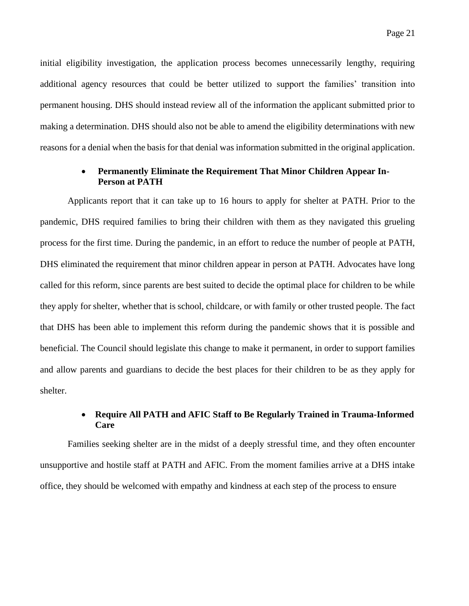initial eligibility investigation, the application process becomes unnecessarily lengthy, requiring additional agency resources that could be better utilized to support the families' transition into permanent housing. DHS should instead review all of the information the applicant submitted prior to making a determination. DHS should also not be able to amend the eligibility determinations with new reasons for a denial when the basis for that denial was information submitted in the original application.

#### • **Permanently Eliminate the Requirement That Minor Children Appear In-Person at PATH**

Applicants report that it can take up to 16 hours to apply for shelter at PATH. Prior to the pandemic, DHS required families to bring their children with them as they navigated this grueling process for the first time. During the pandemic, in an effort to reduce the number of people at PATH, DHS eliminated the requirement that minor children appear in person at PATH. Advocates have long called for this reform, since parents are best suited to decide the optimal place for children to be while they apply for shelter, whether that is school, childcare, or with family or other trusted people. The fact that DHS has been able to implement this reform during the pandemic shows that it is possible and beneficial. The Council should legislate this change to make it permanent, in order to support families and allow parents and guardians to decide the best places for their children to be as they apply for shelter.

### • **Require All PATH and AFIC Staff to Be Regularly Trained in Trauma-Informed Care**

Families seeking shelter are in the midst of a deeply stressful time, and they often encounter unsupportive and hostile staff at PATH and AFIC. From the moment families arrive at a DHS intake office, they should be welcomed with empathy and kindness at each step of the process to ensure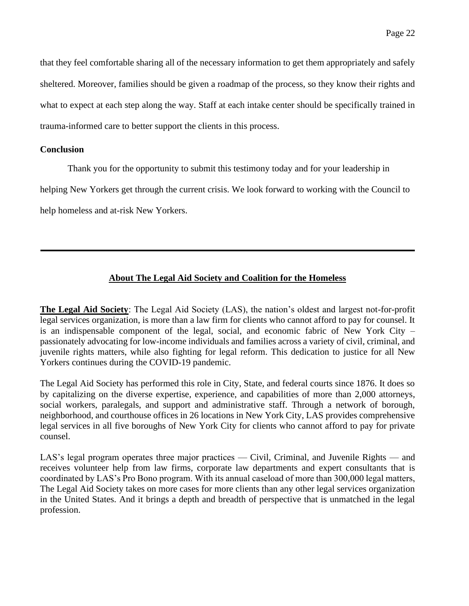that they feel comfortable sharing all of the necessary information to get them appropriately and safely sheltered. Moreover, families should be given a roadmap of the process, so they know their rights and what to expect at each step along the way. Staff at each intake center should be specifically trained in trauma-informed care to better support the clients in this process.

#### **Conclusion**

Thank you for the opportunity to submit this testimony today and for your leadership in

helping New Yorkers get through the current crisis. We look forward to working with the Council to

help homeless and at-risk New Yorkers.

# **About The Legal Aid Society and Coalition for the Homeless**

**The Legal Aid Society**: The Legal Aid Society (LAS), the nation's oldest and largest not-for-profit legal services organization, is more than a law firm for clients who cannot afford to pay for counsel. It is an indispensable component of the legal, social, and economic fabric of New York City – passionately advocating for low-income individuals and families across a variety of civil, criminal, and juvenile rights matters, while also fighting for legal reform. This dedication to justice for all New Yorkers continues during the COVID-19 pandemic.

The Legal Aid Society has performed this role in City, State, and federal courts since 1876. It does so by capitalizing on the diverse expertise, experience, and capabilities of more than 2,000 attorneys, social workers, paralegals, and support and administrative staff. Through a network of borough, neighborhood, and courthouse offices in 26 locations in New York City, LAS provides comprehensive legal services in all five boroughs of New York City for clients who cannot afford to pay for private counsel.

LAS's legal program operates three major practices — Civil, Criminal, and Juvenile Rights — and receives volunteer help from law firms, corporate law departments and expert consultants that is coordinated by LAS's Pro Bono program. With its annual caseload of more than 300,000 legal matters, The Legal Aid Society takes on more cases for more clients than any other legal services organization in the United States. And it brings a depth and breadth of perspective that is unmatched in the legal profession.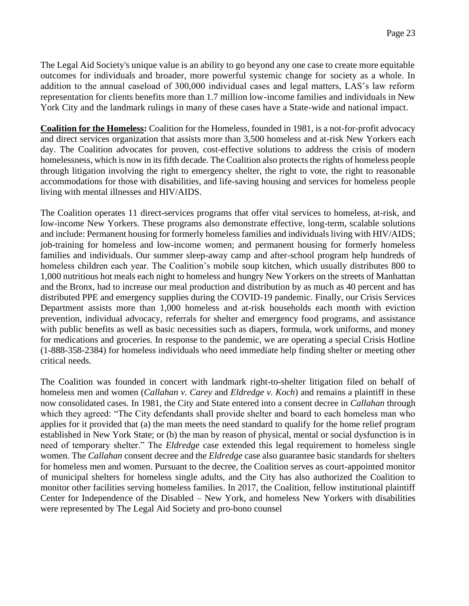The Legal Aid Society's unique value is an ability to go beyond any one case to create more equitable outcomes for individuals and broader, more powerful systemic change for society as a whole. In addition to the annual caseload of 300,000 individual cases and legal matters, LAS's law reform representation for clients benefits more than 1.7 million low-income families and individuals in New York City and the landmark rulings in many of these cases have a State-wide and national impact.

**Coalition for the Homeless:** Coalition for the Homeless, founded in 1981, is a not-for-profit advocacy and direct services organization that assists more than 3,500 homeless and at-risk New Yorkers each day. The Coalition advocates for proven, cost-effective solutions to address the crisis of modern homelessness, which is now in its fifth decade. The Coalition also protects the rights of homeless people through litigation involving the right to emergency shelter, the right to vote, the right to reasonable accommodations for those with disabilities, and life-saving housing and services for homeless people living with mental illnesses and HIV/AIDS.

The Coalition operates 11 direct-services programs that offer vital services to homeless, at-risk, and low-income New Yorkers. These programs also demonstrate effective, long-term, scalable solutions and include: Permanent housing for formerly homeless families and individuals living with HIV/AIDS; job-training for homeless and low-income women; and permanent housing for formerly homeless families and individuals. Our summer sleep-away camp and after-school program help hundreds of homeless children each year. The Coalition's mobile soup kitchen, which usually distributes 800 to 1,000 nutritious hot meals each night to homeless and hungry New Yorkers on the streets of Manhattan and the Bronx, had to increase our meal production and distribution by as much as 40 percent and has distributed PPE and emergency supplies during the COVID-19 pandemic. Finally, our Crisis Services Department assists more than 1,000 homeless and at-risk households each month with eviction prevention, individual advocacy, referrals for shelter and emergency food programs, and assistance with public benefits as well as basic necessities such as diapers, formula, work uniforms, and money for medications and groceries. In response to the pandemic, we are operating a special Crisis Hotline (1-888-358-2384) for homeless individuals who need immediate help finding shelter or meeting other critical needs.

The Coalition was founded in concert with landmark right-to-shelter litigation filed on behalf of homeless men and women (*Callahan v. Carey* and *Eldredge v. Koch*) and remains a plaintiff in these now consolidated cases. In 1981, the City and State entered into a consent decree in *Callahan* through which they agreed: "The City defendants shall provide shelter and board to each homeless man who applies for it provided that (a) the man meets the need standard to qualify for the home relief program established in New York State; or (b) the man by reason of physical, mental or social dysfunction is in need of temporary shelter." The *Eldredge* case extended this legal requirement to homeless single women. The *Callahan* consent decree and the *Eldredge* case also guarantee basic standards for shelters for homeless men and women. Pursuant to the decree, the Coalition serves as court-appointed monitor of municipal shelters for homeless single adults, and the City has also authorized the Coalition to monitor other facilities serving homeless families. In 2017, the Coalition, fellow institutional plaintiff Center for Independence of the Disabled – New York, and homeless New Yorkers with disabilities were represented by The Legal Aid Society and pro-bono counsel